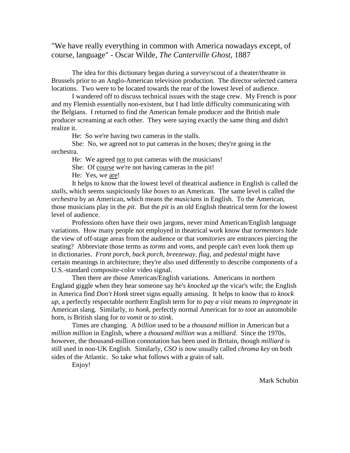# "We have really everything in common with America nowadays except, of course, language" - Oscar Wilde, *The Canterville Ghost*, 1887

 The idea for this dictionary began during a survey/scout of a theater/theatre in Brussels prior to an Anglo-American television production. The director selected camera locations. Two were to be located towards the rear of the lowest level of audience.

 I wandered off to discuss technical issues with the stage crew. My French is poor and my Flemish essentially non-existent, but I had little difficulty communicating with the Belgians. I returned to find the American female producer and the British male producer screaming at each other. They were saying exactly the same thing and didn't realize it.

He: So we're having two cameras in the stalls.

 She: No, we agreed not to put cameras in the boxes; they're going in the orchestra.

He: We agreed not to put cameras with the musicians!

She: Of course we're not having cameras in the pit!

He: Yes, we are!

 It helps to know that the lowest level of theatrical audience in English is called the *stalls*, which seems suspiciously like *boxes* to an American. The same level is called the *orchestra* by an American, which means the *musicians* in English. To the American, those musicians play in the *pit*. But the *pit* is an old English theatrical term for the lowest level of audience.

 Professions often have their own jargons, never mind American/English language variations. How many people not employed in theatrical work know that *tormentors* hide the view of off-stage areas from the audience or that *vomitories* are entrances piercing the seating? Abbreviate those terms as *torms* and *voms*, and people can't even look them up in dictionaries. *Front porch, back porch, breezeway, flag,* and *pedestal* might have certain meanings in architecture; they're also used differently to describe components of a U.S.-standard composite-color video signal.

 Then there are those American/English variations. Americans in northern England giggle when they hear someone say he's *knocked up* the vicar's wife; the English in America find *Don't Honk* street signs equally amusing. It helps to know that *to knock up*, a perfectly respectable northern English term for *to pay a visit* means *to impregnate* in American slang. Similarly, *to honk*, perfectly normal American for *to toot* an automobile horn, is British slang for *to vomit* or *to stink*.

 Times are changing. A *billion* used to be a *thousand million* in American but a *million million* in English, where a *thousand million* was a *milliard*. Since the 1970s, however, the thousand-million connotation has been used in Britain, though *milliard* is still used in non-UK English. Similarly, *CSO* is now usually called *chroma key* on both sides of the Atlantic. So take what follows with a grain of salt.

Enjoy!

Mark Schubin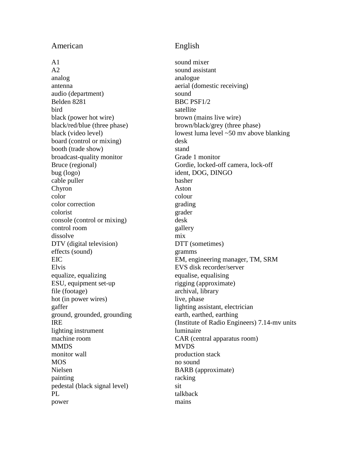## American English

A 1 sound mixer A2 sound assistant analog analogue antenna aerial (domestic receiving) audio (department) sound Belden 8281 BBC PSF1/2 bird satellite black (power hot wire) brown (mains live wire) black/red/blue (three phase) brown/black/grey (three phase) board (control or mixing) desk booth (trade show) stand broadcast-quality monitor Grade 1 monitor bug (logo) ident, DOG, DINGO cable puller basher Chyron Aston color colour color correction grading colorist grader console (control or mixing) desk control room gallery dissolve mix DTV (digital television) DTT (sometimes) effects (sound) gramms Elvis EVS disk recorder/server equalize, equalizing equalise, equalising ESU, equipment set-up rigging (approximate) file (footage) archival, library hot (in power wires) live, phase gaffer lighting assistant, electrician ground, grounded, grounding earth, earthed, earthing lighting instrument luminaire machine room CAR (central apparatus room) MMDS MVDS monitor wall production stack MOS no sound Nielsen BARB (approximate) painting racking pedestal (black signal level) sit PL talkback power mains

black (video level) lowest luma level ~50 mv above blanking Bruce (regional) Gordie, locked-off camera, lock-off EIC EIC EM, engineering manager, TM, SRM IRE (Institute of Radio Engineers) 7.14-mv units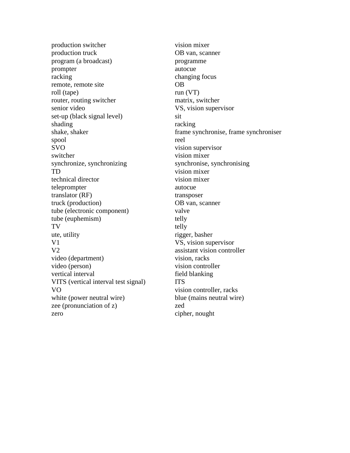production switcher vision mixer production truck OB van, scanner program (a broadcast) programme prompter autocue racking changing focus remote, remote site OB roll (tape) run (VT) router, routing switcher matrix, switcher senior video VS, vision supervisor set-up (black signal level) sit shading racking racking spool reel SVO vision supervisor switcher vision mixer synchronize, synchronizing synchronise, synchronising TD vision mixer technical director vision mixer teleprompter autocue translator (RF) transposer truck (production) OB van, scanner tube (electronic component) valve tube (euphemism) telly TV telly ute, utility rigger, basher V1 VS, vision supervisor V2 assistant vision controller video (department) vision, racks video (person) vision controller vertical interval field blanking VITS (vertical interval test signal) ITS VO vision controller, racks white (power neutral wire) blue (mains neutral wire) zee (pronunciation of z) zed zero cipher, nought

shake, shaker frame synchronise, frame synchroniser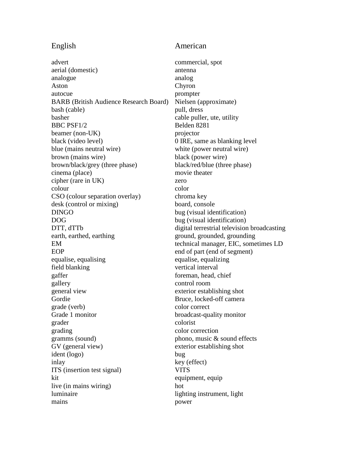### English American

advert commercial, spot aerial (domestic) antenna analogue analogue analogue Aston Chyron autocue prompter BARB (British Audience Research Board) Nielsen (approximate) bash (cable) pull, dress basher cable puller, ute, utility BBC PSF1/2 Belden 8281 beamer (non-UK) projector black (video level) 0 IRE, same as blanking level blue (mains neutral wire) white (power neutral wire) brown (mains wire) black (power wire) brown/black/grey (three phase) black/red/blue (three phase) cinema (place) movie theater cipher (rare in UK) zero colour color CSO (colour separation overlay) chroma key desk (control or mixing) board, console DINGO bug (visual identification) DOG bug (visual identification) DTT, dTTb digital terrestrial television broadcasting earth, earthed, earthing ground, grounded, grounding EM technical manager, EIC, sometimes LD EOP end of part (end of segment) equalise, equalising equalise, equalizing field blanking vertical interval gaffer foreman, head, chief gallery control room general view exterior establishing shot Gordie Bruce, locked-off camera grade (verb) color correct Grade 1 monitor broadcast-quality monitor grader colorist grading color correction gramms (sound) phono, music & sound effects GV (general view) exterior establishing shot ident (logo) bug inlay key (effect) ITS (insertion test signal) VITS kit equipment, equipment, equipment live (in mains wiring) hot luminaire lighting instrument, light mains power